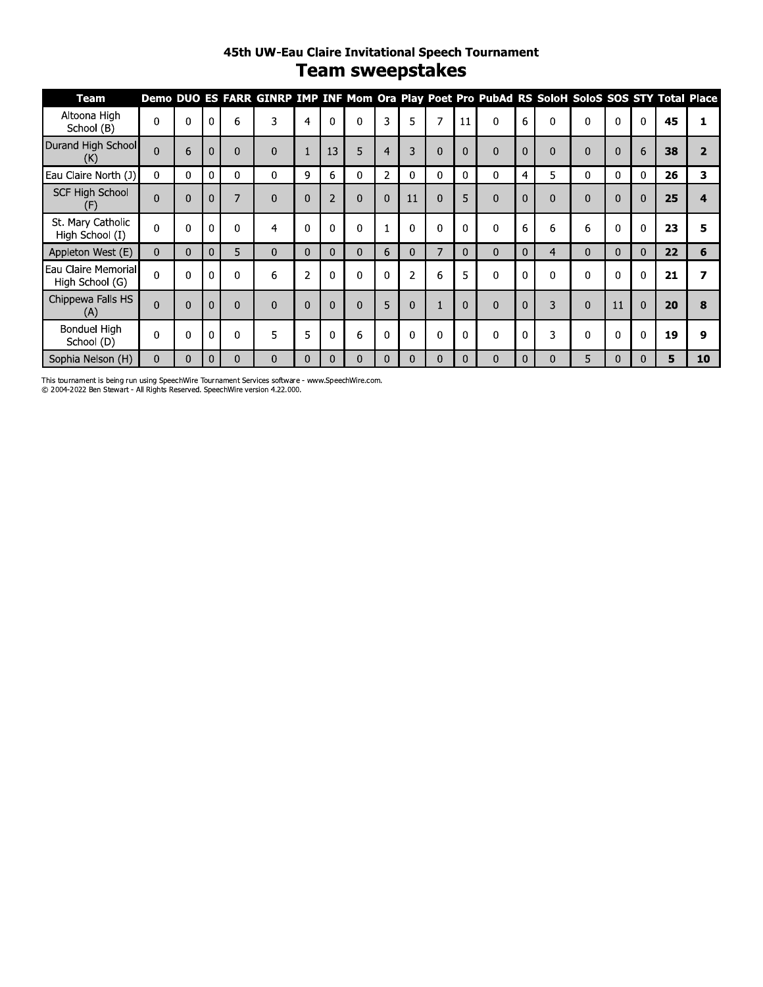#### 45th UW-Eau Claire Invitational Speech Tournament **Team sweepstakes**

| Team                                   |                |   |             |          | Demo DUO ES FARR GINRP IMP INF Mom Ora Play Poet Pro PubAd RS SoloH SoloS SOS STY Total Place |                |                |          |                |                |              |                |          |          |              |          |              |              |    |                |
|----------------------------------------|----------------|---|-------------|----------|-----------------------------------------------------------------------------------------------|----------------|----------------|----------|----------------|----------------|--------------|----------------|----------|----------|--------------|----------|--------------|--------------|----|----------------|
| Altoona High<br>School (B)             | $\Omega$       | 0 | 0           | 6        | 3                                                                                             | 4              | $\Omega$       | $\Omega$ | 3              | 5              | 7            | 11             | $\Omega$ | 6        | $\Omega$     | 0        | 0            | $\mathbf 0$  | 45 |                |
| Durand High School<br>(K)              | $\Omega$       | 6 | $\Omega$    | $\Omega$ | $\Omega$                                                                                      | $\mathbf{1}$   | 13             | 5        | $\overline{4}$ | 3              | $\Omega$     | $\overline{0}$ | $\Omega$ | $\Omega$ | $\Omega$     | $\Omega$ | $\Omega$     | 6            | 38 | $\overline{2}$ |
| Eau Claire North (J)                   | 0              | 0 | $\mathbf 0$ | 0        | 0                                                                                             | 9              | 6              | 0        | 2              | 0              | $\mathbf{0}$ | 0              | 0        | 4        | 5            | 0        | 0            | $\mathbf{0}$ | 26 | 3              |
| <b>SCF High School</b><br>(F)          | $\overline{0}$ | 0 | 0           | 7        | 0                                                                                             | $\mathbf 0$    | $\overline{2}$ | 0        | $\mathbf{0}$   | 11             | $\mathbf{0}$ | 5              | 0        | 0        | $\mathbf{0}$ | 0        | $\mathbf{0}$ | $\mathbf 0$  | 25 |                |
| St. Mary Catholic<br>High School (I)   | $\mathbf{0}$   | 0 | 0           | 0        | 4                                                                                             | $\Omega$       | $\mathbf{0}$   | 0        |                | $\mathbf 0$    |              | $\mathbf 0$    | 0        | 6        | 6            | 6        | 0            | $\Omega$     | 23 | 5              |
| Appleton West (E)                      | $\mathbf{0}$   | 0 | $\Omega$    | 5        | 0                                                                                             | $\Omega$       | $\Omega$       | $\Omega$ | 6              | $\Omega$       | 7            | $\Omega$       | $\Omega$ | 0        | 4            | $\Omega$ | $\Omega$     | $\Omega$     | 22 | 6              |
| Eau Claire Memorial<br>High School (G) | $\Omega$       | 0 | $\Omega$    | $\Omega$ | 6                                                                                             | $\overline{2}$ | $\Omega$       | $\Omega$ | $\Omega$       | $\overline{2}$ | 6            | 5              | $\Omega$ | U        | $\Omega$     | $\Omega$ | 0            | $\Omega$     | 21 |                |
| Chippewa Falls HS<br>(A)               | $\Omega$       | 0 | $\Omega$    | $\Omega$ | $\Omega$                                                                                      | $\Omega$       | $\Omega$       | $\Omega$ | 5              | $\Omega$       |              | $\Omega$       | $\Omega$ | $\Omega$ | 3            | 0        | 11           | $\Omega$     | 20 | 8              |
| Bonduel High<br>School (D)             | $\Omega$       | 0 | $\Omega$    | 0        | 5                                                                                             | 5              | 0              | 6        | $\Omega$       | $\Omega$       | $\Omega$     | $\Omega$       | $\Omega$ | 0        | 3            | 0        | 0            | $\Omega$     | 19 | 9              |
| Sophia Nelson (H)                      | 0              | 0 |             | 0        | $\Omega$                                                                                      | $\Omega$       | 0              | 0        | 0              |                |              | $\Omega$       | 0        | 0        | $\mathbf{0}$ | 5        |              | 0            | 5  | 10             |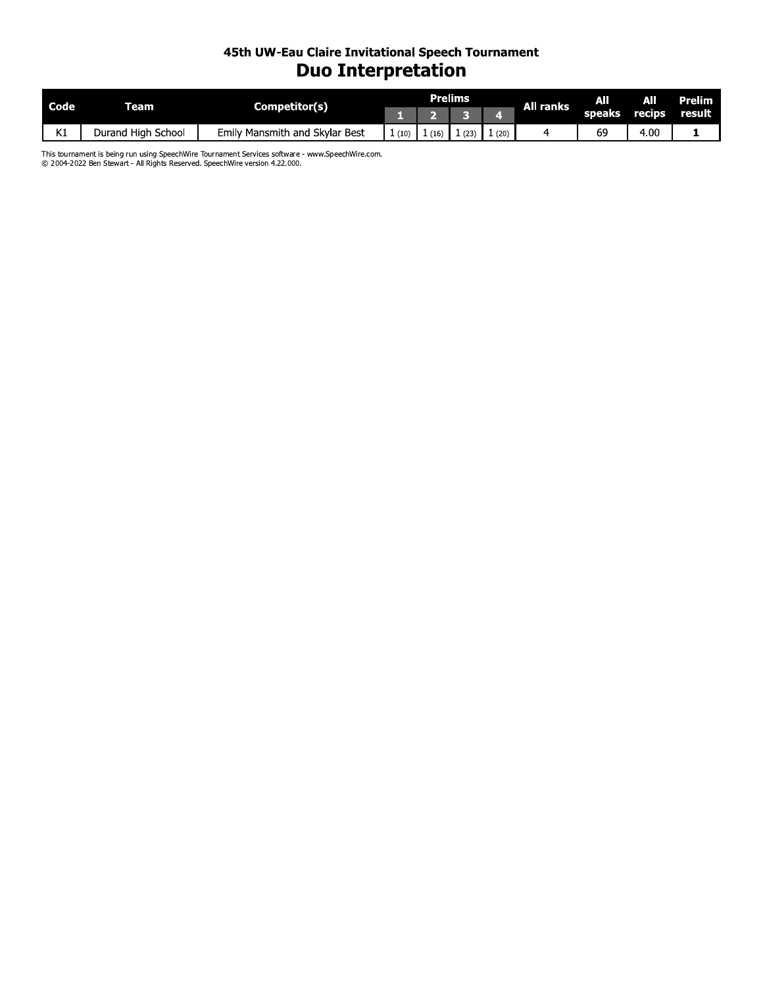#### 45th UW-Eau Claire Invitational Speech Tournament **Duo Interpretation**

| Code                   | ream                    | Competitor(s)                     |      |      | Prelims |      | <b>All ranks</b> | AΠ     | All    | Prelim |
|------------------------|-------------------------|-----------------------------------|------|------|---------|------|------------------|--------|--------|--------|
|                        |                         |                                   |      |      |         |      |                  | speaks | recips | result |
| $\overline{1/4}$<br>N. | School<br>Durand High ' | Mansmith and Skylar Best<br>Emilv | (10) | (16, | (23)    | (20) |                  | 69     | 4.00   |        |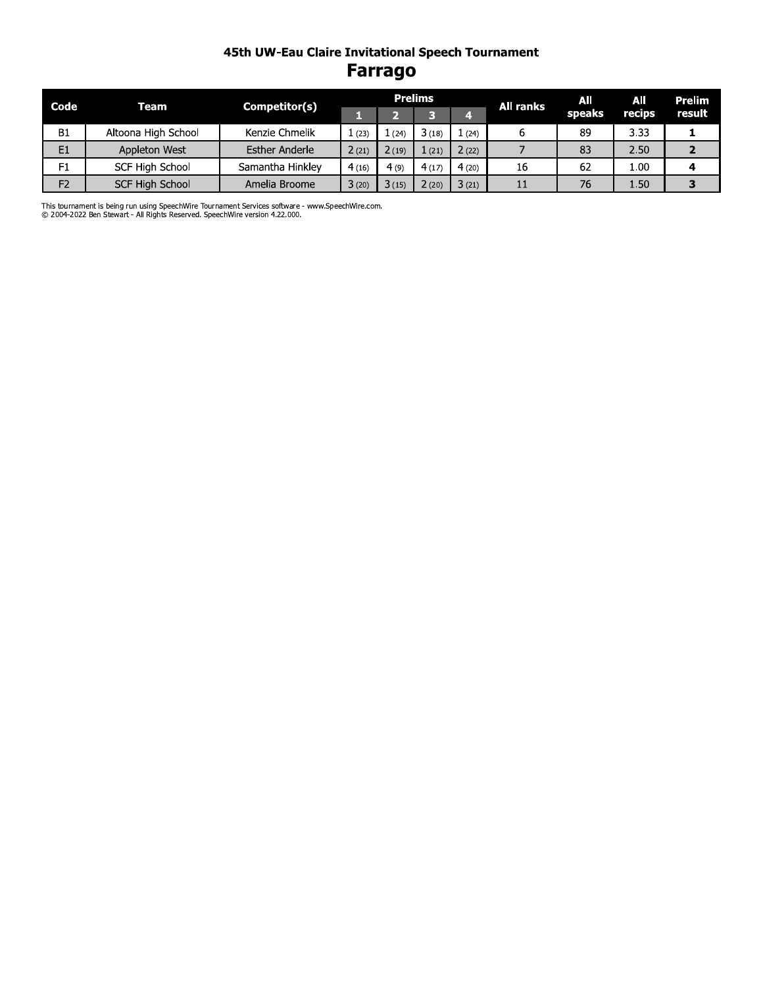#### 45th UW-Eau Claire Invitational Speech Tournament **Farrago**

| Code           | Team                | Competitor(s)         |       |       | <b>Prelims</b> |       | <b>All ranks</b> | AII    | All    | Prelim |
|----------------|---------------------|-----------------------|-------|-------|----------------|-------|------------------|--------|--------|--------|
|                |                     |                       |       |       |                |       |                  | speaks | recips | result |
| <b>B1</b>      | Altoona High School | Kenzie Chmelik        | 1(23) | 1(24) | 3(18)          | 1(24) |                  | 89     | 3.33   |        |
| E <sub>1</sub> | Appleton West       | <b>Esther Anderle</b> | 2(21) | 2(19) | $1$ (21)       | 2(22) |                  | 83     | 2.50   |        |
| F1             | SCF High School     | Samantha Hinkley      | 4(16) | 4(9)  | 4(17)          | 4(20) | 16               | 62     | 1.00   |        |
| F <sub>2</sub> | SCF High School     | Amelia Broome         | 3(20) | 3(15) | 2(20)          | 3(21) |                  | 76     | 1.50   |        |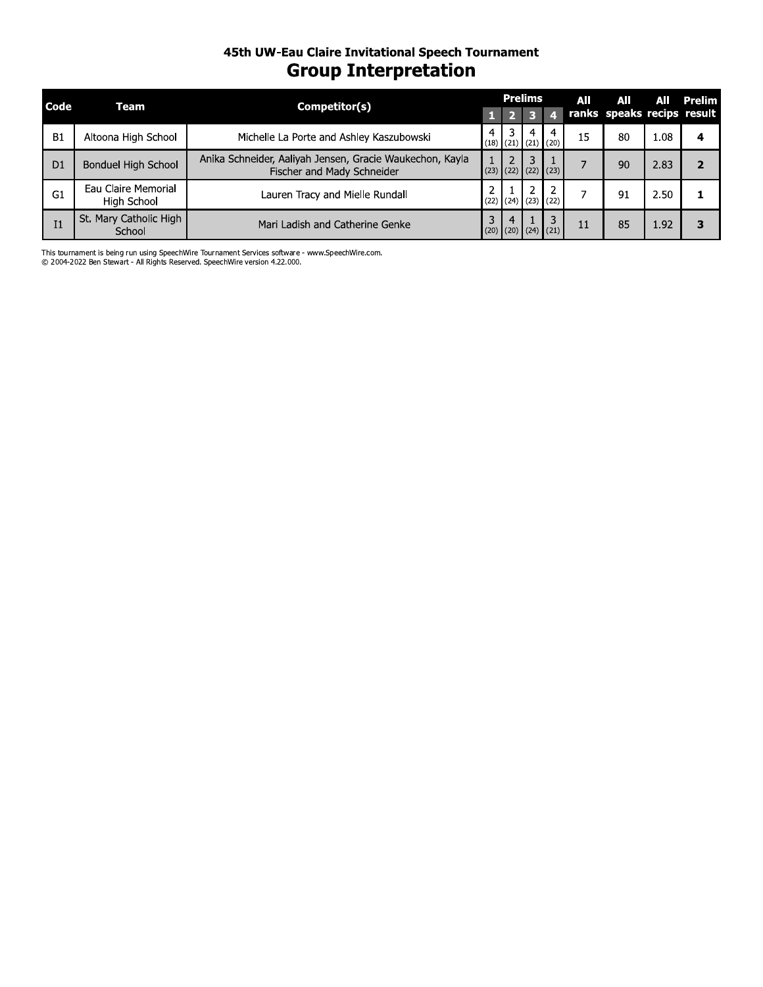#### 45th UW-Eau Claire Invitational Speech Tournament **Group Interpretation**

| Code           | Team                               | Competitor(s)                                                                          | <b>Prelims</b> |   |                                  | All | All                        | AII  | Prelim |
|----------------|------------------------------------|----------------------------------------------------------------------------------------|----------------|---|----------------------------------|-----|----------------------------|------|--------|
|                |                                    |                                                                                        |                |   |                                  |     | ranks speaks recips result |      |        |
| B1             | Altoona High School                | Michelle La Porte and Ashley Kaszubowski                                               |                | 4 | 4<br>$(18)$ $(21)$ $(21)$ $(20)$ | 15  | 80                         | 1.08 | 4      |
| D <sub>1</sub> | Bonduel High School                | Anika Schneider, Aaliyah Jensen, Gracie Waukechon, Kayla<br>Fischer and Mady Schneider |                |   | $(23)$ $(22)$ $(22)$ $(23)$      |     | 90                         | 2.83 |        |
| G1             | Eau Claire Memorial<br>High School | Lauren Tracy and Mielle Rundall                                                        |                | 2 | $(22)$ $(24)$ $(23)$ $(22)$      |     | 91                         | 2.50 |        |
| I1             | St. Mary Catholic High<br>School   | Mari Ladish and Catherine Genke                                                        |                |   | 3<br>$(20)$ $(20)$ $(24)$ $(21)$ | 11  | 85                         | 1.92 |        |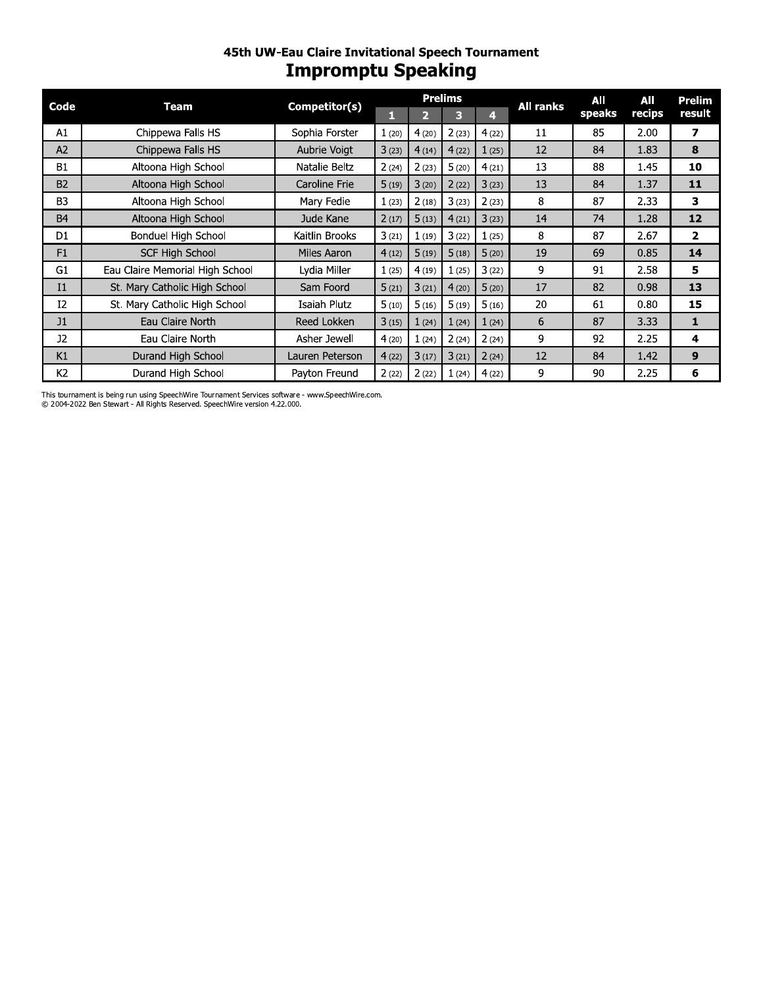### 45th UW-Eau Claire Invitational Speech Tournament **Impromptu Speaking**

| Code           | Team                            |                 |       |       | <b>Prelims</b> |       | <b>All ranks</b> | All    | All    | <b>Prelim</b>  |
|----------------|---------------------------------|-----------------|-------|-------|----------------|-------|------------------|--------|--------|----------------|
|                |                                 | Competitor(s)   | П     | 2     | 3              | 4.    |                  | speaks | recips | result         |
| A1             | Chippewa Falls HS               | Sophia Forster  | 1(20) | 4(20) | 2(23)          | 4(22) | 11               | 85     | 2.00   | 7              |
| A2             | Chippewa Falls HS               | Aubrie Voigt    | 3(23) | 4(14) | 4(22)          | 1(25) | 12               | 84     | 1.83   | 8              |
| <b>B1</b>      | Altoona High School             | Natalie Beltz   | 2(24) | 2(23) | 5(20)          | 4(21) | 13               | 88     | 1.45   | 10             |
| <b>B2</b>      | Altoona High School             | Caroline Frie   | 5(19) | 3(20) | 2(22)          | 3(23) | 13               | 84     | 1.37   | 11             |
| B <sub>3</sub> | Altoona High School             | Mary Fedie      | 1(23) | 2(18) | 3(23)          | 2(23) | 8                | 87     | 2.33   | 3              |
| <b>B4</b>      | Altoona High School             | Jude Kane       | 2(17) | 5(13) | 4(21)          | 3(23) | 14               | 74     | 1.28   | 12             |
| D1             | Bonduel High School             | Kaitlin Brooks  | 3(21) | 1(19) | 3(22)          | 1(25) | 8                | 87     | 2.67   | $\overline{2}$ |
| F1             | <b>SCF High School</b>          | Miles Aaron     | 4(12) | 5(19) | 5(18)          | 5(20) | 19               | 69     | 0.85   | 14             |
| G1             | Eau Claire Memorial High School | Lydia Miller    | 1(25) | 4(19) | 1(25)          | 3(22) | 9                | 91     | 2.58   | 5              |
| I <sub>1</sub> | St. Mary Catholic High School   | Sam Foord       | 5(21) | 3(21) | 4(20)          | 5(20) | 17               | 82     | 0.98   | 13             |
| I2             | St. Mary Catholic High School   | Isaiah Plutz    | 5(10) | 5(16) | 5(19)          | 5(16) | 20               | 61     | 0.80   | 15             |
| J1             | Eau Claire North                | Reed Lokken     | 3(15) | 1(24) | 1(24)          | 1(24) | 6                | 87     | 3.33   | 1              |
| J2             | Eau Claire North                | Asher Jewell    | 4(20) | 1(24) | 2(24)          | 2(24) | 9                | 92     | 2.25   | 4              |
| K1             | Durand High School              | Lauren Peterson | 4(22) | 3(17) | 3(21)          | 2(24) | 12               | 84     | 1.42   | 9              |
| K <sub>2</sub> | Durand High School              | Payton Freund   | 2(22) | 2(22) | 1(24)          | 4(22) | 9                | 90     | 2.25   | 6              |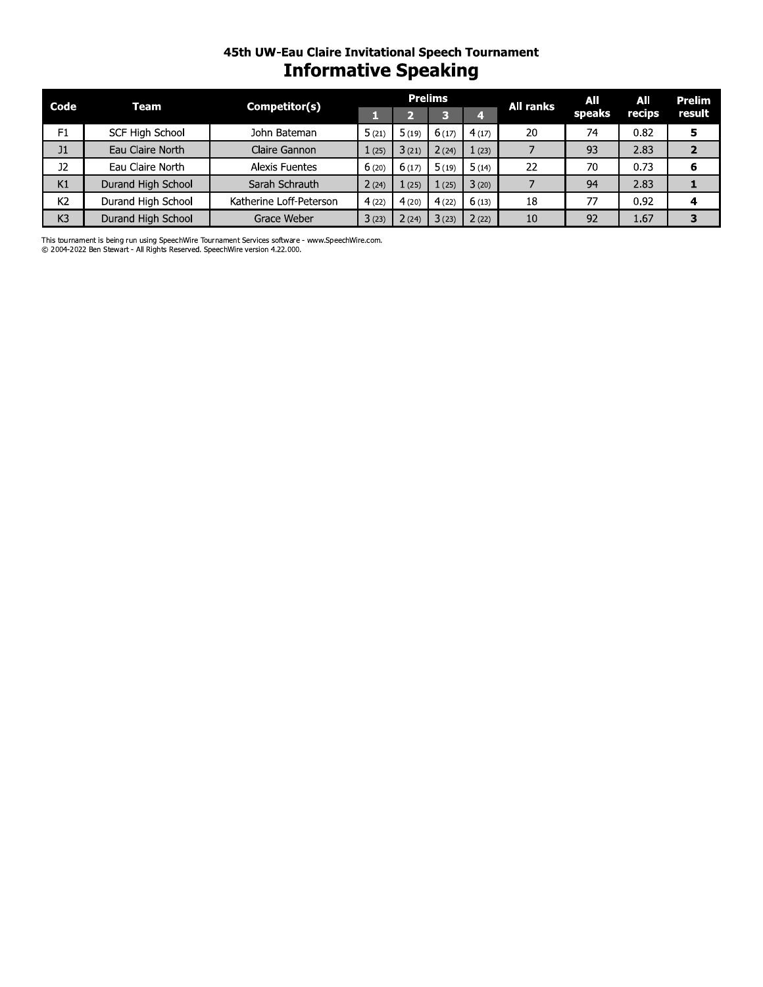# 45th UW-Eau Claire Invitational Speech Tournament **Informative Speaking**

| Code           | <b>Team</b>            | Competitor(s)           |       |                | <b>Prelims</b> |       | <b>All ranks</b> | All    | All    | <b>Prelim</b>  |
|----------------|------------------------|-------------------------|-------|----------------|----------------|-------|------------------|--------|--------|----------------|
|                |                        |                         |       | $\overline{2}$ | з              | 4     |                  | speaks | recips | result         |
| F1             | <b>SCF High School</b> | John Bateman            | 5(21) | 5(19)          | 6(17)          | 4(17) | 20               | 74     | 0.82   | 5              |
| J1             | Eau Claire North       | Claire Gannon           | 1(25) | 3(21)          | 2(24)          | 1(23) | 7                | 93     | 2.83   | $\overline{2}$ |
| J2             | Eau Claire North       | Alexis Fuentes          | 6(20) | 6(17)          | 5(19)          | 5(14) | 22               | 70     | 0.73   | 6              |
| K1             | Durand High School     | Sarah Schrauth          | 2(24) | 1(25)          | 1(25)          | 3(20) | 7                | 94     | 2.83   | 1              |
| K <sub>2</sub> | Durand High School     | Katherine Loff-Peterson | 4(22) | 4(20)          | 4(22)          | 6(13) | 18               | 77     | 0.92   | 4              |
| K3             | Durand High School     | Grace Weber             | 3(23) | 2(24)          | 3(23)          | 2(22) | 10               | 92     | 1.67   | 3              |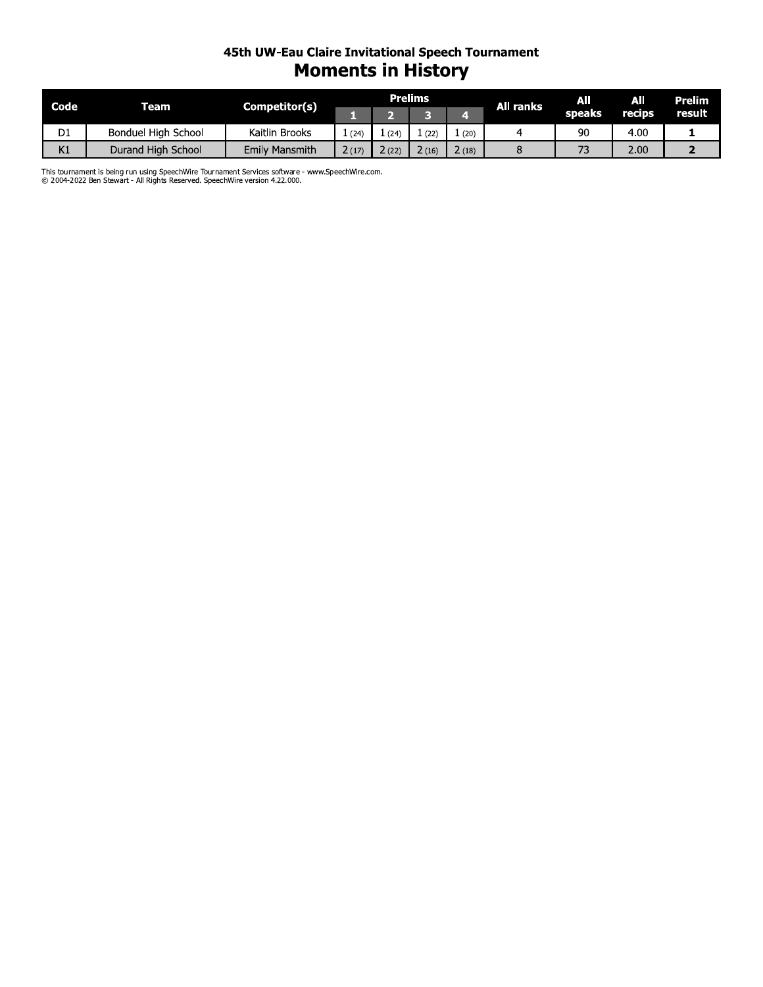#### 45th UW-Eau Claire Invitational Speech Tournament **Moments in History**

| Code           | <b>Team</b>         | Competitor(s)         |       |      | <b>Prelims</b> |       | All ranks | AII    | All    | Prelim' |
|----------------|---------------------|-----------------------|-------|------|----------------|-------|-----------|--------|--------|---------|
|                |                     |                       |       |      |                |       |           | speaks | recips | result  |
| D <sub>1</sub> | Bonduel High School | Kaitlin Brooks        | (24)  | (24) | (22)           | (20)  |           | 90     | 4.00   |         |
| K1             | Durand High School  | <b>Emily Mansmith</b> | 2(17) | (22) | (16)           | 2(18) |           |        | 2.00   |         |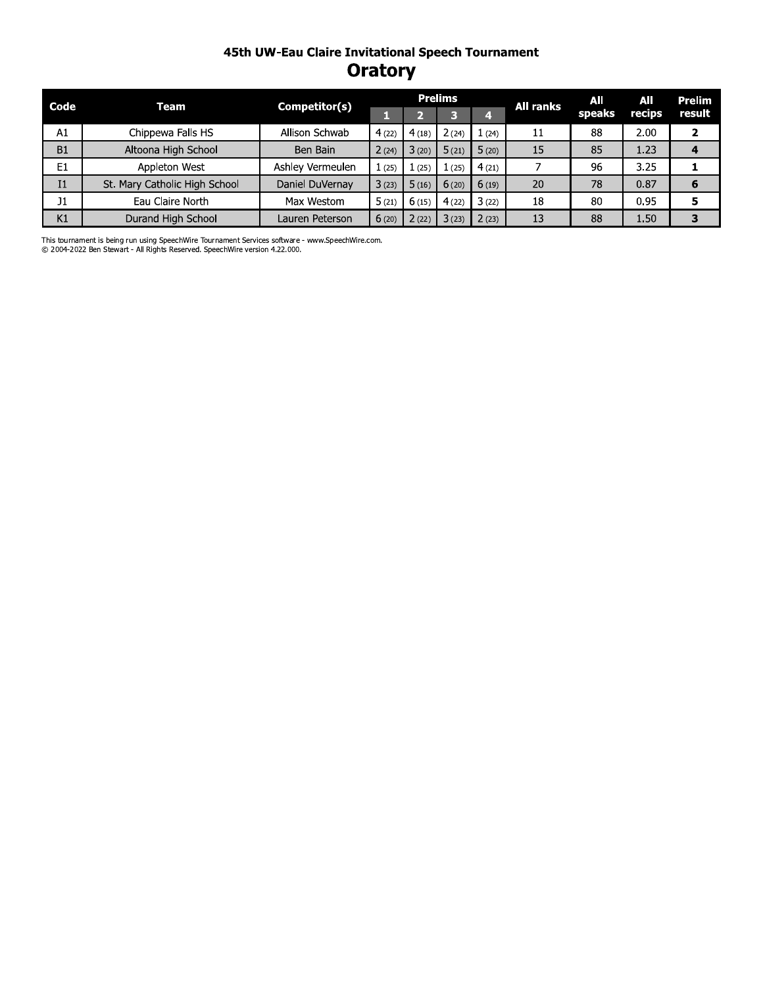#### 45th UW-Eau Claire Invitational Speech Tournament **Oratory**

| Code           | Team                          | Competitor(s)    |       |       | <b>Prelims</b> |       | All ranks | AII    | All               | Prelim |
|----------------|-------------------------------|------------------|-------|-------|----------------|-------|-----------|--------|-------------------|--------|
|                |                               |                  |       |       |                |       |           | speaks | recips            | result |
| A1             | Chippewa Falls HS             | Allison Schwab   | 4(22) | 4(18) | 2 (24)         | 1(24) | 11        | 88     | 2.00              |        |
| B1             | Altoona High School           | Ben Bain         | 2(24) | 3(20) | 5(21)          | 5(20) | 15        | 85     | 1.23              |        |
| E <sub>1</sub> | Appleton West                 | Ashley Vermeulen | 1(25) | (25)  | (25)           | 4(21) |           | 96     | 3.25              |        |
| I <sub>1</sub> | St. Mary Catholic High School | Daniel DuVernav  | 3(23) | 5(16) | 6(20)          | 6(19) | 20        | 78     | 0.87              | 6      |
| 11             | Eau Claire North              | Max Westom       | 5(21) | 6(15) | 4(22)          | 3(22) | 18        | 80     | 0.95              | 5      |
| K1             | Durand High School            | Lauren Peterson  | 6(20) | 2(22) | 3(23)          | 2(23) | 13        | 88     | 1.50 <sub>1</sub> | З      |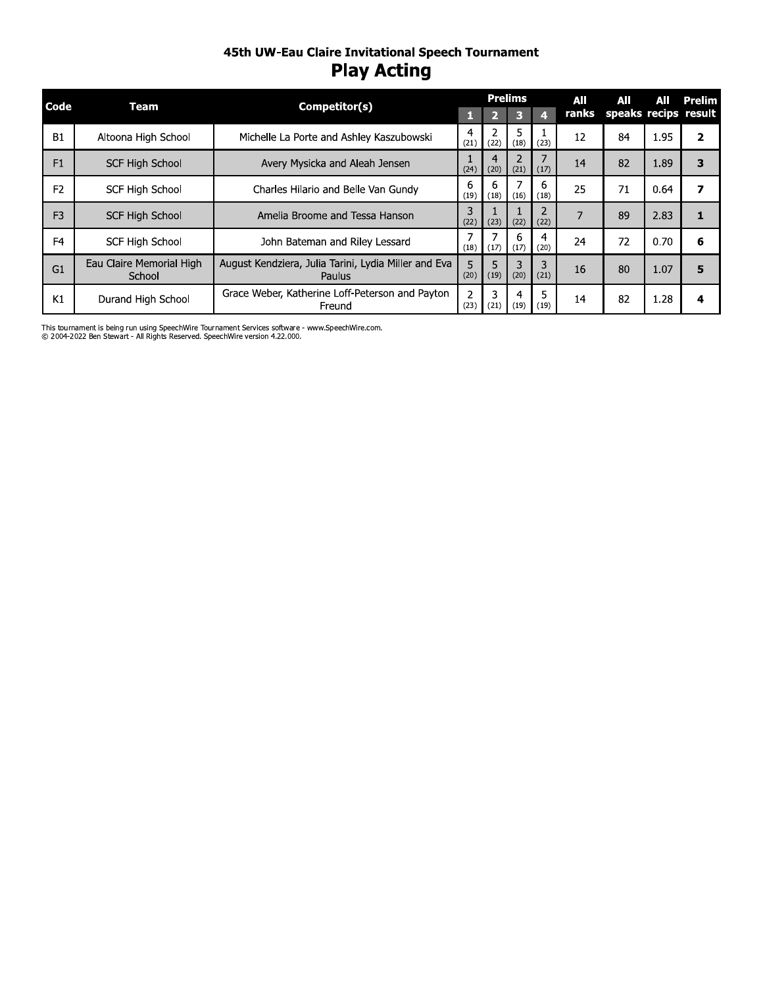#### 45th UW-Eau Claire Invitational Speech Tournament **Play Acting**

| Code           |                                    |                                                                |                        |           | <b>Prelims</b> |           | All   | All                  | All  | Prelim |
|----------------|------------------------------------|----------------------------------------------------------------|------------------------|-----------|----------------|-----------|-------|----------------------|------|--------|
|                | <b>Team</b>                        | Competitor(s)                                                  |                        |           | Е              | Д         | ranks | speaks recips result |      |        |
| <b>B1</b>      | Altoona High School                | Michelle La Porte and Ashley Kaszubowski                       | 4<br>(21)              | (22)      | 5<br>(18)      | (23)      | 12    | 84                   | 1.95 | 2      |
| F1             | SCF High School                    | Avery Mysicka and Aleah Jensen                                 | (24)                   | (20)      | (21)           | (17)      | 14    | 82                   | 1.89 | 3      |
| F <sub>2</sub> | <b>SCF High School</b>             | Charles Hilario and Belle Van Gundy                            | 6<br>(19)              | (18)      | (16)           | (18)      | 25    | 71                   | 0.64 | 7      |
| F <sub>3</sub> | <b>SCF High School</b>             | Amelia Broome and Tessa Hanson                                 | (22)                   | (23)      | (22)           | (22)      |       | 89                   | 2.83 | 1      |
| F <sub>4</sub> | <b>SCF High School</b>             | John Bateman and Riley Lessard                                 | (18)                   | (17)      | 6<br>(17)      | 4<br>(20) | 24    | 72                   | 0.70 | 6      |
| G1             | Eau Claire Memorial High<br>School | August Kendziera, Julia Tarini, Lydia Miller and Eva<br>Paulus | 5<br>(20)              | 5<br>(19) | (20)           | (21)      | 16    | 80                   | 1.07 | 5      |
| K1             | Durand High School                 | Grace Weber, Katherine Loff-Peterson and Payton<br>Freund      | $\overline{2}$<br>(23) | 3<br>(21) | 4<br>(19)      | (19)      | 14    | 82                   | 1.28 | 4      |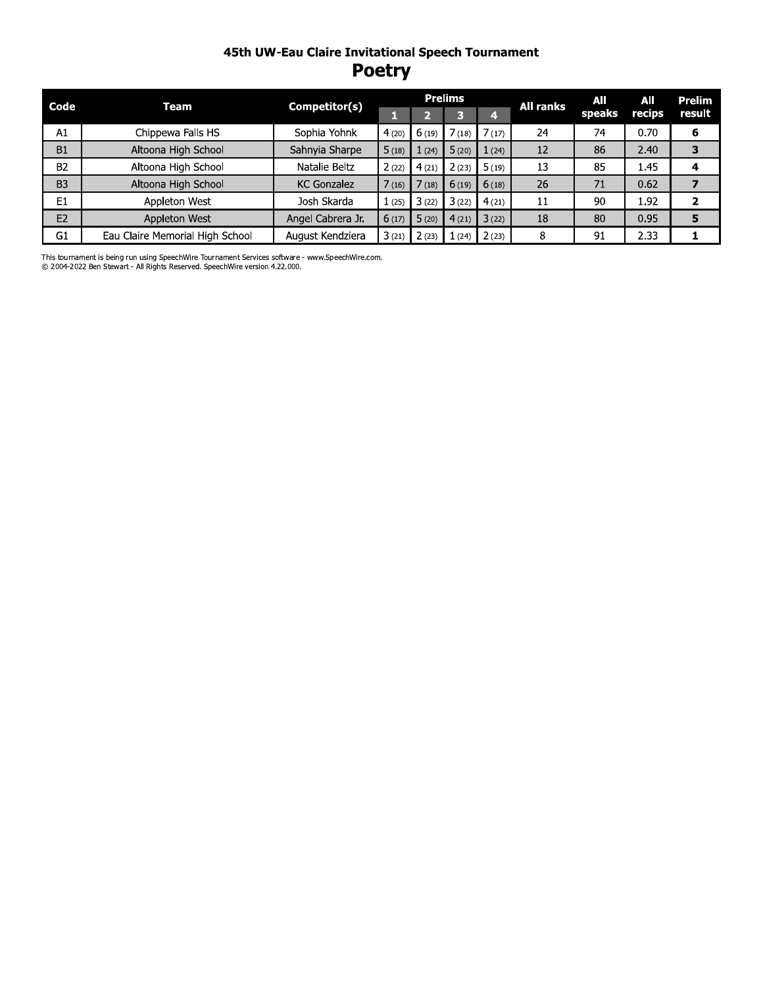#### 45th UW-Eau Claire Invitational Speech Tournament **Poetry**

| Code           | Team                            | Competitor(s)      |       |       | <b>Prelims</b> | All ranks | AII | AII    | <b>Prelim</b> |        |
|----------------|---------------------------------|--------------------|-------|-------|----------------|-----------|-----|--------|---------------|--------|
|                |                                 |                    |       | 74    | з              | 4         |     | speaks | recips        | result |
| A1             | Chippewa Falls HS               | Sophia Yohnk       | 4(20) | 6(19) | 7(18)          | 7(17)     | 24  | 74     | 0.70          | 6      |
| B1             | Altoona High School             | Sahnyia Sharpe     | 5(18) | (24)  | 5(20)          | 1(24)     | 12  | 86     | 2.40          |        |
| <b>B2</b>      | Altoona High School             | Natalie Beltz      | 2(22) | 4(21) | 2(23)          | 5(19)     | 13  | 85     | 1.45          | 4      |
| B <sub>3</sub> | Altoona High School             | <b>KC Gonzalez</b> | 7(16) | 7(18) | 6(19)          | 6(18)     | 26  | 71     | 0.62          |        |
| E <sub>1</sub> | Appleton West                   | Josh Skarda        | 1(25) | 3(22) | 3(22)          | 4(21)     | 11  | 90     | 1.92          | 2      |
| E <sub>2</sub> | Appleton West                   | Angel Cabrera Jr.  | 6(17) | 5(20) | 4(21)          | 3(22)     | 18  | 80     | 0.95          | 5      |
| G <sub>1</sub> | Eau Claire Memorial High School | August Kendziera   | 3(21) | 2(23) | (24)           | 2(23)     | 8   | 91     | 2.33          |        |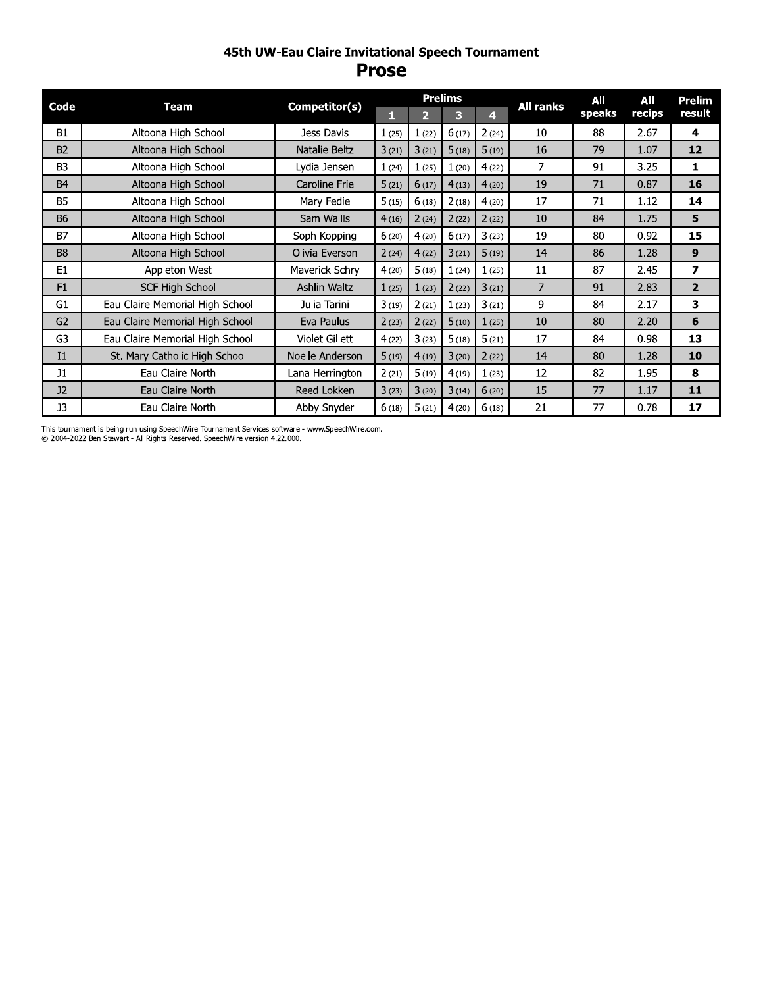#### 45th UW-Eau Claire Invitational Speech Tournament **Prose**

|                | <b>Team</b>                     |                 |       |                | <b>Prelims</b> |       | <b>All ranks</b> | All    | All    | Prelim         |
|----------------|---------------------------------|-----------------|-------|----------------|----------------|-------|------------------|--------|--------|----------------|
| Code           |                                 | Competitor(s)   | 1     | $\overline{2}$ | 3              | 4.    |                  | speaks | recips | result         |
| <b>B1</b>      | Altoona High School             | Jess Davis      | 1(25) | 1(22)          | 6(17)          | 2(24) | 10               | 88     | 2.67   | 4              |
| <b>B2</b>      | Altoona High School             | Natalie Beltz   | 3(21) | 3(21)          | 5(18)          | 5(19) | 16               | 79     | 1.07   | 12             |
| B <sub>3</sub> | Altoona High School             | Lydia Jensen    | 1(24) | 1(25)          | 1(20)          | 4(22) | 7                | 91     | 3.25   | 1              |
| <b>B4</b>      | Altoona High School             | Caroline Frie   | 5(21) | 6(17)          | 4(13)          | 4(20) | 19               | 71     | 0.87   | 16             |
| <b>B5</b>      | Altoona High School             | Mary Fedie      | 5(15) | 6(18)          | 2(18)          | 4(20) | 17               | 71     | 1.12   | 14             |
| <b>B6</b>      | Altoona High School             | Sam Wallis      | 4(16) | 2(24)          | 2(22)          | 2(22) | 10               | 84     | 1.75   | 5              |
| <b>B7</b>      | Altoona High School             | Soph Kopping    | 6(20) | 4(20)          | 6(17)          | 3(23) | 19               | 80     | 0.92   | 15             |
| B <sub>8</sub> | Altoona High School             | Olivia Everson  | 2(24) | 4(22)          | 3(21)          | 5(19) | 14               | 86     | 1.28   | 9              |
| E <sub>1</sub> | Appleton West                   | Maverick Schry  | 4(20) | 5(18)          | 1(24)          | 1(25) | 11               | 87     | 2.45   | 7              |
| F1             | <b>SCF High School</b>          | Ashlin Waltz    | 1(25) | 1(23)          | 2(22)          | 3(21) | $\overline{7}$   | 91     | 2.83   | $\overline{2}$ |
| G <sub>1</sub> | Eau Claire Memorial High School | Julia Tarini    | 3(19) | 2(21)          | 1(23)          | 3(21) | 9                | 84     | 2.17   | 3              |
| G <sub>2</sub> | Eau Claire Memorial High School | Eva Paulus      | 2(23) | 2(22)          | 5(10)          | 1(25) | 10               | 80     | 2.20   | 6              |
| G <sub>3</sub> | Eau Claire Memorial High School | Violet Gillett  | 4(22) | 3(23)          | 5(18)          | 5(21) | 17               | 84     | 0.98   | 13             |
| I <sub>1</sub> | St. Mary Catholic High School   | Noelle Anderson | 5(19) | 4(19)          | 3(20)          | 2(22) | 14               | 80     | 1.28   | 10             |
| J1             | Eau Claire North                | Lana Herrington | 2(21) | 5(19)          | 4(19)          | 1(23) | 12               | 82     | 1.95   | 8              |
| J2             | Eau Claire North                | Reed Lokken     | 3(23) | 3(20)          | 3(14)          | 6(20) | 15               | 77     | 1.17   | 11             |
| $_{\rm J3}$    | Eau Claire North                | Abby Snyder     | 6(18) | 5(21)          | 4(20)          | 6(18) | 21               | 77     | 0.78   | 17             |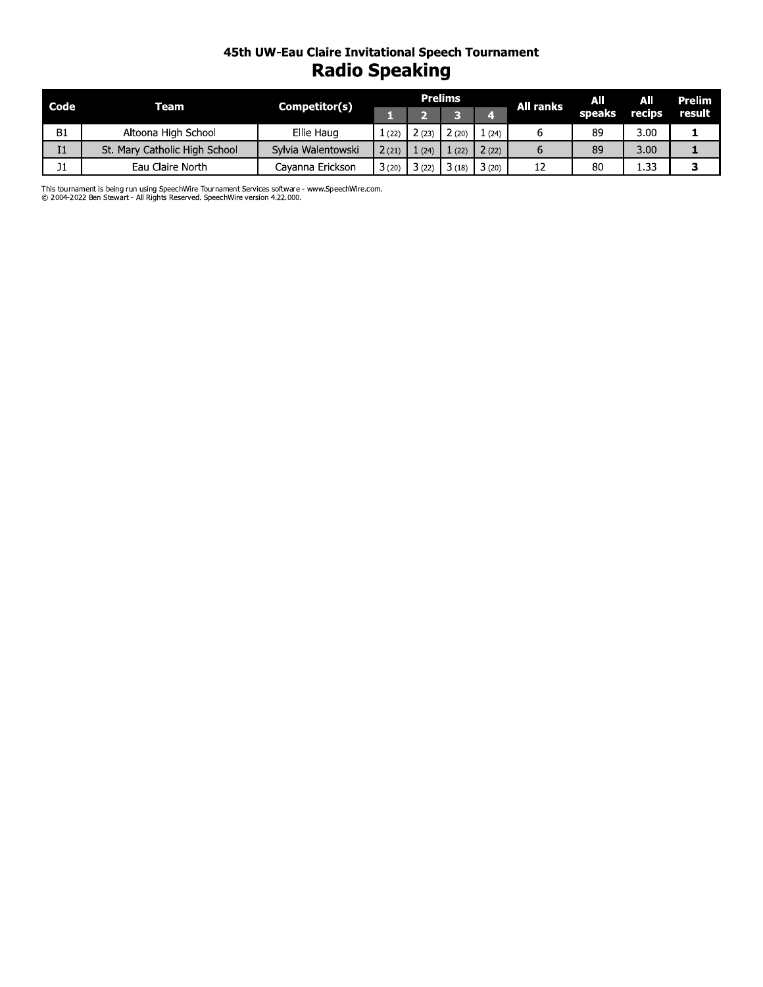# 45th UW-Eau Claire Invitational Speech Tournament<br>Radio Speaking

| Code      | Team                          | Competitor(s)      |       |       | <b>Prelims</b> |       | <b>All ranks</b> | All    | All           | Prelim |
|-----------|-------------------------------|--------------------|-------|-------|----------------|-------|------------------|--------|---------------|--------|
|           |                               |                    |       |       |                |       |                  | speaks | <b>Tecips</b> | result |
| <b>B1</b> | Altoona High School           | Ellie Haug         | (22)  | 2(23) | 2 (20)         | (24)  |                  | 89     | 3.00          |        |
| Ι1        | St. Mary Catholic High School | Sylvia Walentowski | 2(21) | (24)  | (22)           | 2(22) |                  | 89     | 3.00          |        |
| J1        | Eau Claire North              | Cayanna Erickson   | 3(20) | 3(22) | 3(18)          | 3(20) |                  | 80     | 1.33          |        |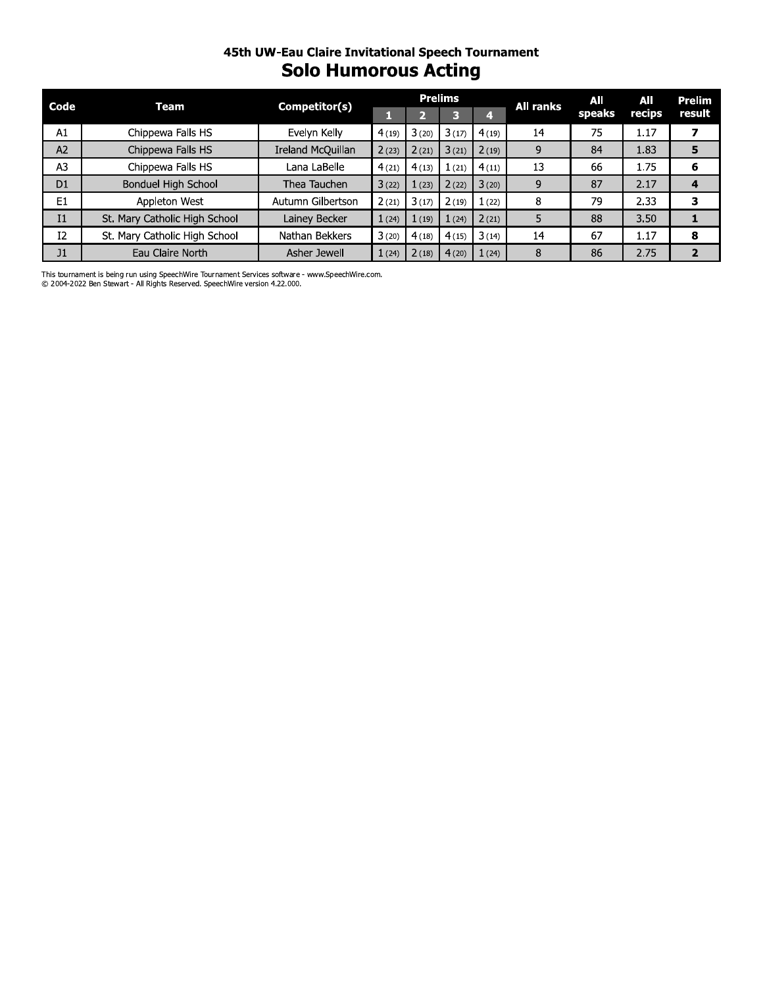#### 45th UW-Eau Claire Invitational Speech Tournament **Solo Humorous Acting**

| Code           | Team                          | Competitor(s)     | <b>Prelims</b> |       |       |       | <b>All ranks</b> | All    | All    | Prelim |
|----------------|-------------------------------|-------------------|----------------|-------|-------|-------|------------------|--------|--------|--------|
|                |                               |                   |                |       |       | 4     |                  | speaks | recips | result |
| A1             | Chippewa Falls HS             | Evelyn Kelly      | 4(19)          | 3(20) | 3(17) | 4(19) | 14               | 75     | 1.17   |        |
| A <sub>2</sub> | Chippewa Falls HS             | Ireland McQuillan | 2(23)          | 2(21) | 3(21) | 2(19) | 9                | 84     | 1.83   | 5      |
| A <sub>3</sub> | Chippewa Falls HS             | Lana LaBelle      | 4(21)          | 4(13) | (21)  | 4(11) | 13               | 66     | 1.75   | 6      |
| D <sub>1</sub> | Bonduel High School           | Thea Tauchen      | 3(22)          | 1(23) | 2(22) | 3(20) | 9                | 87     | 2.17   | 4      |
| E <sub>1</sub> | Appleton West                 | Autumn Gilbertson | 2(21)          | 3(17) | 2(19) | 1(22) | 8                | 79     | 2.33   | з      |
| Ι1             | St. Mary Catholic High School | Lainey Becker     | 1(24)          | 1(19) | (24)  | 2(21) | 5                | 88     | 3.50   |        |
| I <sub>2</sub> | St. Mary Catholic High School | Nathan Bekkers    | 3(20)          | 4(18) | 4(15) | 3(14) | 14               | 67     | 1.17   | 8      |
| J1             | Eau Claire North              | Asher Jewell      | 1(24)          | 2(18) | 4(20) | 1(24) | 8                | 86     | 2.75   |        |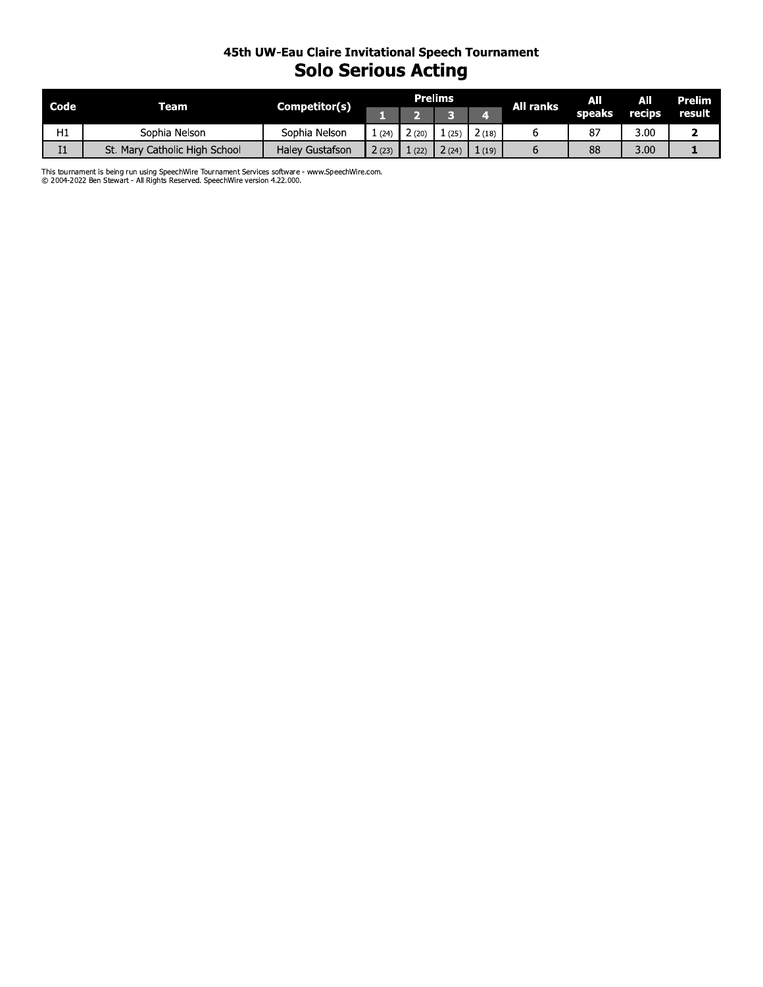#### 45th UW-Eau Claire Invitational Speech Tournament **Solo Serious Acting**

| Code           | Team                          | Competitor(s)          |      |      | <b>Prelims</b> |       | All ranks | All<br>speaks | All<br>recips | <b>Prelim</b><br>result |
|----------------|-------------------------------|------------------------|------|------|----------------|-------|-----------|---------------|---------------|-------------------------|
|                |                               |                        |      |      |                |       |           |               |               |                         |
| H1             | Sophia Nelson                 | Sophia Nelson          | (24) |      | (25            | 2(18) |           | ၓ,            | 3.00          |                         |
| I <sub>1</sub> | St. Mary Catholic High School | <b>Haley Gustafson</b> | (23) | (22) | 24             | (19)  |           | 88            | 3.00          |                         |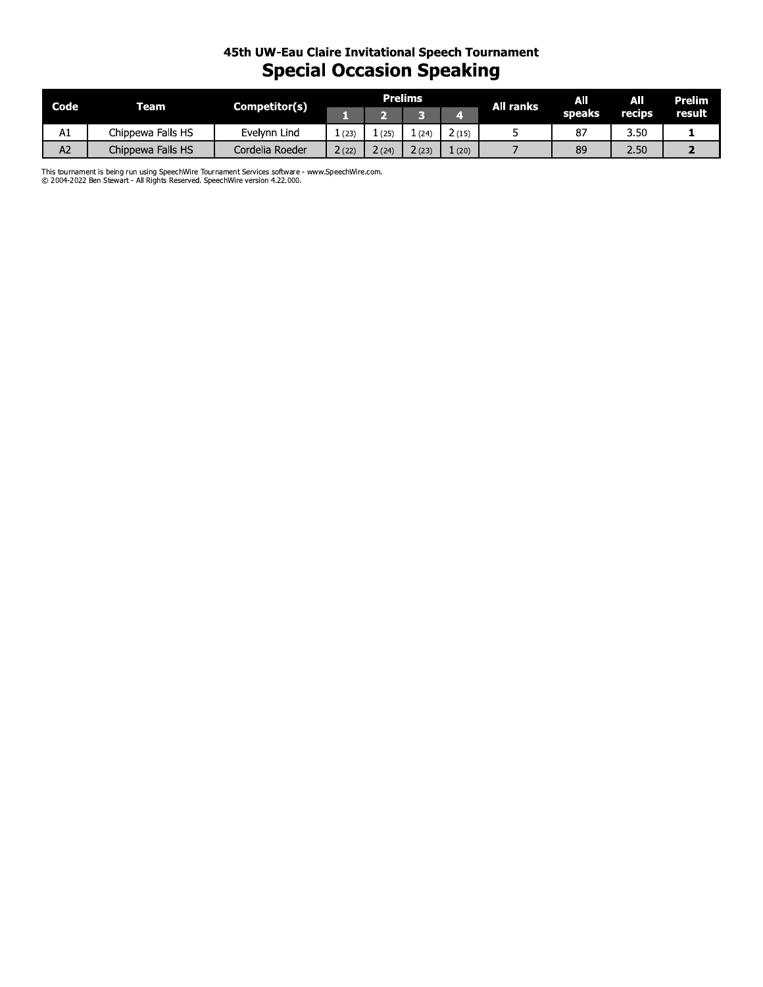## 45th UW-Eau Claire Invitational Speech Tournament **Special Occasion Speaking**

| Code           | Team              | Competitor(s)   | <b>Prelims</b> |      |       |       | All ranks | AII    | AII    | <b>Prelim</b> |
|----------------|-------------------|-----------------|----------------|------|-------|-------|-----------|--------|--------|---------------|
|                |                   |                 |                |      |       |       |           | speaks | recips | result        |
| A1             | Chippewa Falls HS | Evelynn Lind    | (23)           | (25) | (24)  | 2(15) |           | 87     | 3.50   |               |
| A <sub>2</sub> | Chippewa Falls HS | Cordelia Roeder | 2(22)          | (24) | 2(23) | 1(20) |           | 89     | 2.50   |               |